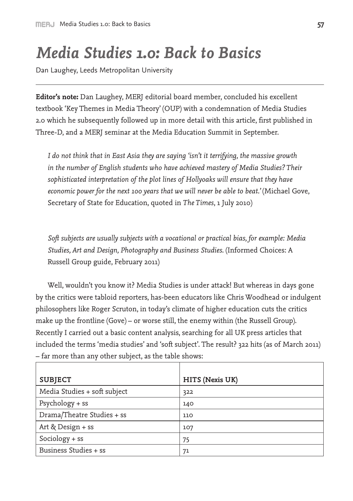## *Media Studies 1.0: Back to Basics*

Dan Laughey, Leeds Metropolitan University

**Editor's note:** Dan Laughey, MERJ editorial board member, concluded his excellent textbook 'Key Themes in Media Theory' (OUP) with a condemnation of Media Studies 2.0 which he subsequently followed up in more detail with this article, first published in Three-D, and a MERJ seminar at the Media Education Summit in September.

*I do not think that in East Asia they are saying 'isn't it terrifying, the massive growth in the number of English students who have achieved mastery of Media Studies? Their sophisticated interpretation of the plot lines of Hollyoaks will ensure that they have economic power for the next 100 years that we will never be able to beat.'* (Michael Gove, Secretary of State for Education, quoted in *The Times*, 1 July 2010)

*Soft subjects are usually subjects with a vocational or practical bias, for example: Media Studies, Art and Design, Photography and Business Studies.* (Informed Choices: A Russell Group guide, February 2011)

Well, wouldn't you know it? Media Studies is under attack! But whereas in days gone by the critics were tabloid reporters, has-been educators like Chris Woodhead or indulgent philosophers like Roger Scruton, in today's climate of higher education cuts the critics make up the frontline (Gove) – or worse still, the enemy within (the Russell Group). Recently I carried out a basic content analysis, searching for all UK press articles that included the terms 'media studies' and 'soft subject'. The result? 322 hits (as of March 2011) – far more than any other subject, as the table shows:

| <b>SUBJECT</b>               | HITS (Nexis UK) |
|------------------------------|-----------------|
| Media Studies + soft subject | 322             |
| Psychology + ss              | 140             |
| Drama/Theatre Studies + ss   | 110             |
| Art & Design + ss            | 107             |
| Sociology $+$ ss             | 75              |
| Business Studies + ss        | 71              |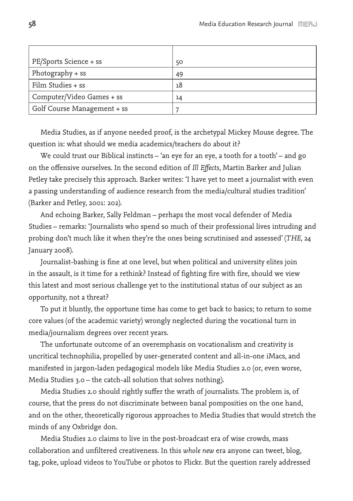| PE/Sports Science + ss      | 50 |
|-----------------------------|----|
| Photography + ss            | 49 |
| Film Studies + ss           | 18 |
| Computer/Video Games + ss   | 14 |
| Golf Course Management + ss |    |

Media Studies, as if anyone needed proof, is the archetypal Mickey Mouse degree. The question is: what should we media academics/teachers do about it?

We could trust our Biblical instincts – 'an eye for an eye, a tooth for a tooth' – and go on the offensive ourselves. In the second edition of *Ill Effects*, Martin Barker and Julian Petley take precisely this approach. Barker writes: 'I have yet to meet a journalist with even a passing understanding of audience research from the media/cultural studies tradition' (Barker and Petley, 2001: 202).

And echoing Barker, Sally Feldman – perhaps the most vocal defender of Media Studies – remarks: 'Journalists who spend so much of their professional lives intruding and probing don't much like it when they're the ones being scrutinised and assessed' (*THE*, 24 January 2008).

Journalist-bashing is fine at one level, but when political and university elites join in the assault, is it time for a rethink? Instead of fighting fire with fire, should we view this latest and most serious challenge yet to the institutional status of our subject as an opportunity, not a threat?

To put it bluntly, the opportune time has come to get back to basics; to return to some core values (of the academic variety) wrongly neglected during the vocational turn in media/journalism degrees over recent years.

The unfortunate outcome of an overemphasis on vocationalism and creativity is uncritical technophilia, propelled by user-generated content and all-in-one iMacs, and manifested in jargon-laden pedagogical models like Media Studies 2.0 (or, even worse, Media Studies 3.0 – the catch-all solution that solves nothing).

Media Studies 2.0 should rightly suffer the wrath of journalists. The problem is, of course, that the press do not discriminate between banal pomposities on the one hand, and on the other, theoretically rigorous approaches to Media Studies that would stretch the minds of any Oxbridge don.

Media Studies 2.0 claims to live in the post-broadcast era of wise crowds, mass collaboration and unfiltered creativeness. In this *whole new* era anyone can tweet, blog, tag, poke, upload videos to YouTube or photos to Flickr. But the question rarely addressed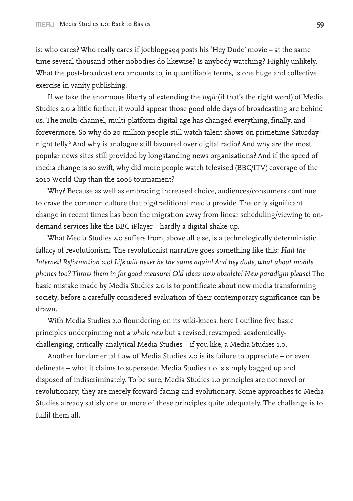is: who cares? Who really cares if joeblogga94 posts his 'Hey Dude' movie – at the same time several thousand other nobodies do likewise? Is anybody watching? Highly unlikely. What the post-broadcast era amounts to, in quantifiable terms, is one huge and collective exercise in vanity publishing.

If we take the enormous liberty of extending the *logic* (if that's the right word) of Media Studies 2.0 a little further, it would appear those good olde days of broadcasting are behind us. The multi-channel, multi-platform digital age has changed everything, finally, and forevermore. So why do 20 million people still watch talent shows on primetime Saturdaynight telly? And why is analogue still favoured over digital radio? And why are the most popular news sites still provided by longstanding news organisations? And if the speed of media change is so swift, why did more people watch televised (BBC/ITV) coverage of the 2010 World Cup than the 2006 tournament?

Why? Because as well as embracing increased choice, audiences/consumers continue to crave the common culture that big/traditional media provide. The only significant change in recent times has been the migration away from linear scheduling/viewing to ondemand services like the BBC iPlayer – hardly a digital shake-up.

What Media Studies 2.0 suffers from, above all else, is a technologically deterministic fallacy of revolutionism. The revolutionist narrative goes something like this: *Hail the Internet! Reformation 2.0! Life will never be the same again! And hey dude, what about mobile phones too? Throw them in for good measure! Old ideas now obsolete! New paradigm please!* The basic mistake made by Media Studies 2.0 is to pontificate about new media transforming society, before a carefully considered evaluation of their contemporary significance can be drawn.

With Media Studies 2.0 floundering on its wiki-knees, here I outline five basic principles underpinning not a *whole new* but a revised, revamped, academicallychallenging, critically-analytical Media Studies – if you like, a Media Studies 1.0.

Another fundamental flaw of Media Studies 2.0 is its failure to appreciate – or even delineate – what it claims to supersede. Media Studies 1.0 is simply bagged up and disposed of indiscriminately. To be sure, Media Studies 1.0 principles are not novel or revolutionary; they are merely forward-facing and evolutionary. Some approaches to Media Studies already satisfy one or more of these principles quite adequately. The challenge is to fulfil them all.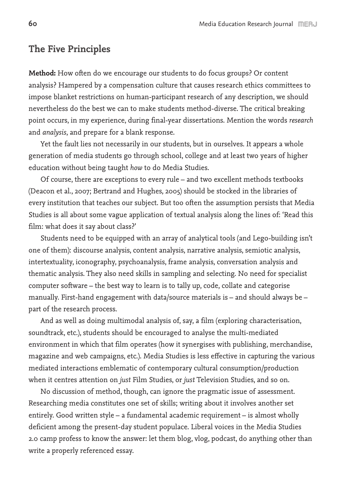## **The Five Principles**

**Method:** How often do we encourage our students to do focus groups? Or content analysis? Hampered by a compensation culture that causes research ethics committees to impose blanket restrictions on human-participant research of any description, we should nevertheless do the best we can to make students method-diverse. The critical breaking point occurs, in my experience, during final-year dissertations. Mention the words *research* and *analysis*, and prepare for a blank response.

Yet the fault lies not necessarily in our students, but in ourselves. It appears a whole generation of media students go through school, college and at least two years of higher education without being taught *how* to do Media Studies.

Of course, there are exceptions to every rule – and two excellent methods textbooks (Deacon et al., 2007; Bertrand and Hughes, 2005) should be stocked in the libraries of every institution that teaches our subject. But too often the assumption persists that Media Studies is all about some vague application of textual analysis along the lines of: 'Read this film: what does it say about class?'

Students need to be equipped with an array of analytical tools (and Lego-building isn't one of them): discourse analysis, content analysis, narrative analysis, semiotic analysis, intertextuality, iconography, psychoanalysis, frame analysis, conversation analysis and thematic analysis. They also need skills in sampling and selecting. No need for specialist computer software – the best way to learn is to tally up, code, collate and categorise manually. First-hand engagement with data/source materials is – and should always be – part of the research process.

And as well as doing multimodal analysis of, say, a film (exploring characterisation, soundtrack, etc.), students should be encouraged to analyse the multi-mediated environment in which that film operates (how it synergises with publishing, merchandise, magazine and web campaigns, etc.). Media Studies is less effective in capturing the various mediated interactions emblematic of contemporary cultural consumption/production when it centres attention on *just* Film Studies, or *just* Television Studies, and so on.

No discussion of method, though, can ignore the pragmatic issue of assessment. Researching media constitutes one set of skills; writing about it involves another set entirely. Good written style – a fundamental academic requirement – is almost wholly deficient among the present-day student populace. Liberal voices in the Media Studies 2.0 camp profess to know the answer: let them blog, vlog, podcast, do anything other than write a properly referenced essay.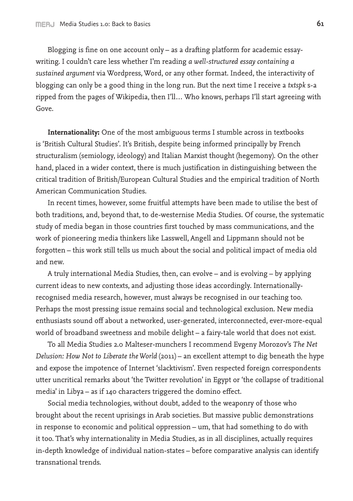Blogging is fine on one account only – as a drafting platform for academic essaywriting. I couldn't care less whether I'm reading *a well-structured essay containing a sustained argument* via Wordpress, Word, or any other format. Indeed, the interactivity of blogging can only be a good thing in the long run. But the next time I receive a *txtspk* s-a ripped from the pages of Wikipedia, then I'll… Who knows, perhaps I'll start agreeing with Gove.

**Internationality:** One of the most ambiguous terms I stumble across in textbooks is 'British Cultural Studies'. It's British, despite being informed principally by French structuralism (semiology, ideology) and Italian Marxist thought (hegemony). On the other hand, placed in a wider context, there is much justification in distinguishing between the critical tradition of British/European Cultural Studies and the empirical tradition of North American Communication Studies.

In recent times, however, some fruitful attempts have been made to utilise the best of both traditions, and, beyond that, to de-westernise Media Studies. Of course, the systematic study of media began in those countries first touched by mass communications, and the work of pioneering media thinkers like Lasswell, Angell and Lippmann should not be forgotten – this work still tells us much about the social and political impact of media old and new.

A truly international Media Studies, then, can evolve – and is evolving – by applying current ideas to new contexts, and adjusting those ideas accordingly. Internationallyrecognised media research, however, must always be recognised in our teaching too. Perhaps the most pressing issue remains social and technological exclusion. New media enthusiasts sound off about a networked, user-generated, interconnected, ever-more-equal world of broadband sweetness and mobile delight – a fairy-tale world that does not exist.

To all Media Studies 2.0 Malteser-munchers I recommend Evgeny Morozov's *The Net Delusion: How Not to Liberate the World* (2011) – an excellent attempt to dig beneath the hype and expose the impotence of Internet 'slacktivism'. Even respected foreign correspondents utter uncritical remarks about 'the Twitter revolution' in Egypt or 'the collapse of traditional media' in Libya – as if 140 characters triggered the domino effect.

Social media technologies, without doubt, added to the weaponry of those who brought about the recent uprisings in Arab societies. But massive public demonstrations in response to economic and political oppression – um, that had something to do with it too. That's why internationality in Media Studies, as in all disciplines, actually requires in-depth knowledge of individual nation-states – before comparative analysis can identify transnational trends.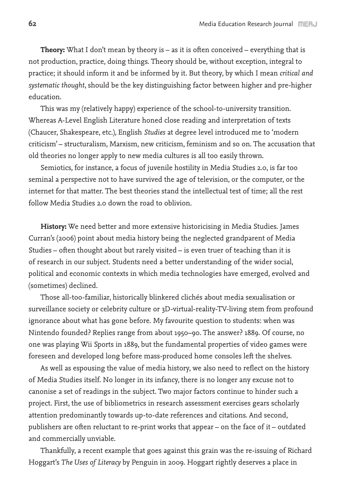**Theory:** What I don't mean by theory is – as it is often conceived – everything that is not production, practice, doing things. Theory should be, without exception, integral to practice; it should inform it and be informed by it. But theory, by which I mean *critical and systematic thought*, should be the key distinguishing factor between higher and pre-higher education.

This was my (relatively happy) experience of the school-to-university transition. Whereas A-Level English Literature honed close reading and interpretation of texts (Chaucer, Shakespeare, etc.), English *Studies* at degree level introduced me to 'modern criticism' – structuralism, Marxism, new criticism, feminism and so on. The accusation that old theories no longer apply to new media cultures is all too easily thrown.

Semiotics, for instance, a focus of juvenile hostility in Media Studies 2.0, is far too seminal a perspective not to have survived the age of television, or the computer, or the internet for that matter. The best theories stand the intellectual test of time; all the rest follow Media Studies 2.0 down the road to oblivion.

**History:** We need better and more extensive historicising in Media Studies. James Curran's (2006) point about media history being the neglected grandparent of Media Studies – often thought about but rarely visited – is even truer of teaching than it is of research in our subject. Students need a better understanding of the wider social, political and economic contexts in which media technologies have emerged, evolved and (sometimes) declined.

Those all-too-familiar, historically blinkered clichés about media sexualisation or surveillance society or celebrity culture or 3D-virtual-reality-TV-living stem from profound ignorance about what has gone before. My favourite question to students: when was Nintendo founded? Replies range from about 1950–90. The answer? 1889. Of course, no one was playing Wii Sports in 1889, but the fundamental properties of video games were foreseen and developed long before mass-produced home consoles left the shelves.

As well as espousing the value of media history, we also need to reflect on the history of Media Studies itself. No longer in its infancy, there is no longer any excuse not to canonise a set of readings in the subject. Two major factors continue to hinder such a project. First, the use of bibliometrics in research assessment exercises gears scholarly attention predominantly towards up-to-date references and citations. And second, publishers are often reluctant to re-print works that appear – on the face of it – outdated and commercially unviable.

Thankfully, a recent example that goes against this grain was the re-issuing of Richard Hoggart's *The Uses of Literacy* by Penguin in 2009. Hoggart rightly deserves a place in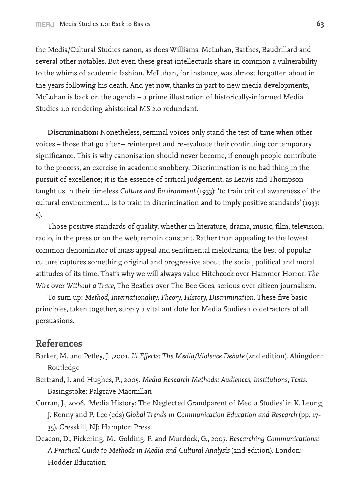the Media/Cultural Studies canon, as does Williams, McLuhan, Barthes, Baudrillard and several other notables. But even these great intellectuals share in common a vulnerability to the whims of academic fashion. McLuhan, for instance, was almost forgotten about in the years following his death. And yet now, thanks in part to new media developments, McLuhan is back on the agenda – a prime illustration of historically-informed Media Studies 1.0 rendering ahistorical MS 2.0 redundant.

**Discrimination:** Nonetheless, seminal voices only stand the test of time when other voices – those that go after – reinterpret and re-evaluate their continuing contemporary significance. This is why canonisation should never become, if enough people contribute to the process, an exercise in academic snobbery. Discrimination is no bad thing in the pursuit of excellence; it is the essence of critical judgement, as Leavis and Thompson taught us in their timeless *Culture and Environment* (1933): 'to train critical awareness of the cultural environment… is to train in discrimination and to imply positive standards' (1933: 5).

Those positive standards of quality, whether in literature, drama, music, film, television, radio, in the press or on the web, remain constant. Rather than appealing to the lowest common denominator of mass appeal and sentimental melodrama, the best of popular culture captures something original and progressive about the social, political and moral attitudes of its time. That's why we will always value Hitchcock over Hammer Horror, *The Wire* over *Without a Trace*, The Beatles over The Bee Gees, serious over citizen journalism.

To sum up: *Method, Internationality, Theory, History, Discrimination*. These five basic principles, taken together, supply a vital antidote for Media Studies 1.0 detractors of all persuasions.

## **References**

- Barker, M. and Petley, J. ,2001. *Ill Effects: The Media/Violence Debate* (2nd edition). Abingdon: Routledge
- Bertrand, I. and Hughes, P., 2005. *Media Research Methods: Audiences, Institutions, Texts*. Basingstoke: Palgrave Macmillan
- Curran, J., 2006. 'Media History: The Neglected Grandparent of Media Studies' in K. Leung, J. Kenny and P. Lee (eds) *Global Trends in Communication Education and Research* (pp. 17- 35). Cresskill, NJ: Hampton Press.
- Deacon, D., Pickering, M., Golding, P. and Murdock, G., 2007. *Researching Communications: A Practical Guide to Methods in Media and Cultural Analysis* (2nd edition). London: Hodder Education